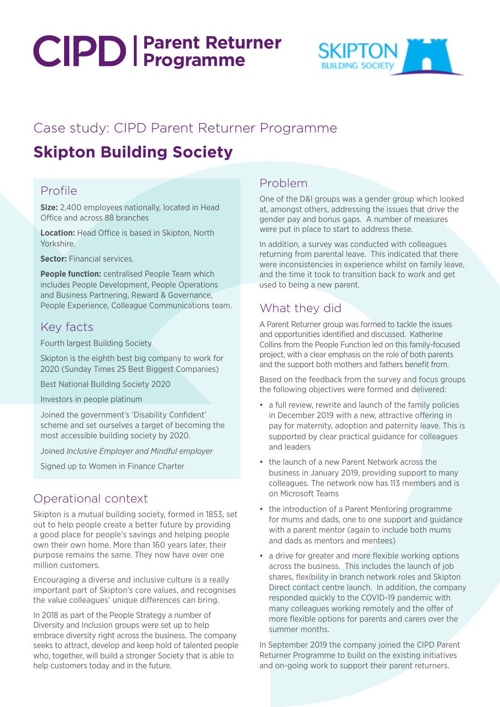# **Parent Returner Programme**



# Case study: CIPD Parent Returner Programme

# **Skipton Building Society**

## Profile

**Size:** 2,400 employees nationally, located in Head Office and across 88 branches

**Location:** Head Office is based in Skipton, North Yorkshire.

**Sector:** Financial services.

**People function:** centralised People Team which includes People Development, People Operations and Business Partnering, Reward & Governance, People Experience, Colleague Communications team.

#### Key facts

Fourth largest Building Society

Skipton is the eighth best big company to work for 2020 (Sunday Times 25 Best Biggest Companies)

Best National Building Society 2020

Investors in people platinum

Joined the government's 'Disability Confident' scheme and set ourselves a target of becoming the most accessible building society by 2020.

Joined *Inclusive Employer and Mindful employer*

Signed up to Women in Finance Charter

## Operational context

Skipton is a mutual building society, formed in 1853, set out to help people create a better future by providing a good place for people's savings and helping people own their own home. More than 160 years later, their purpose remains the same. They now have over one million customers.

Encouraging a diverse and inclusive culture is a really important part of Skipton's core values, and recognises the value colleagues' unique differences can bring.

In 2018 as part of the People Strategy a number of Diversity and Inclusion groups were set up to help embrace diversity right across the business. The company seeks to attract, develop and keep hold of talented people who, together, will build a stronger Society that is able to help customers today and in the future.

#### Problem

One of the D&I groups was a gender group which looked at, amongst others, addressing the issues that drive the gender pay and bonus gaps. A number of measures were put in place to start to address these.

In addition, a survey was conducted with colleagues returning from parental leave. This indicated that there were inconsistencies in experience whilst on family leave, and the time it took to transition back to work and get used to being a new parent.

# What they did

A Parent Returner group was formed to tackle the issues and opportunities identified and discussed. Katherine Collins from the People Function led on this family-focused project, with a clear emphasis on the role of both parents and the support both mothers and fathers benefit from.

Based on the feedback from the survey and focus groups the following objectives were formed and delivered:

- a full review, rewrite and launch of the family policies in December 2019 with a new, attractive offering in pay for maternity, adoption and paternity leave. This is supported by clear practical guidance for colleagues and leaders
- the launch of a new Parent Network across the business in January 2019, providing support to many colleagues. The network now has 113 members and is on Microsoft Teams
- the introduction of a Parent Mentoring programme for mums and dads, one to one support and guidance with a parent mentor (again to include both mums and dads as mentors and mentees)
- a drive for greater and more flexible working options across the business. This includes the launch of job shares, flexibility in branch network roles and Skipton Direct contact centre launch. In addition, the company responded quickly to the COVID-19 pandemic with many colleagues working remotely and the offer of more flexible options for parents and carers over the summer months.

In September 2019 the company joined the CIPD Parent Returner Programme to build on the existing initiatives and on-going work to support their parent returners.